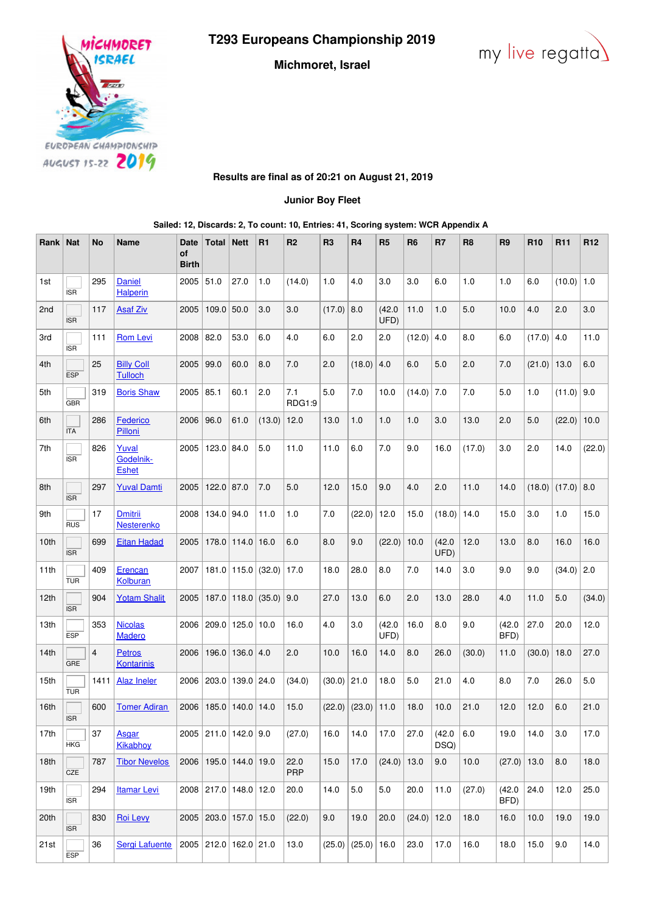**T293 Europeans Championship 2019**

**Michmoret, Israel**





**Results are final as of 20:21 on August 21, 2019**

**Junior Boy Fleet**

**Sailed: 12, Discards: 2, To count: 10, Entries: 41, Scoring system: WCR Appendix A**

| Rank             | <b>Nat</b> | No             | <b>Name</b>                        | Date<br><b>of</b><br><b>Birth</b> | <b>Total</b> | <b>Nett</b>                 | R1                       | R <sub>2</sub>     | R <sub>3</sub> | <b>R4</b>              | R <sub>5</sub> | R <sub>6</sub> | R7             | R <sub>8</sub> | R <sub>9</sub> | <b>R10</b> | R <sub>11</sub> | R <sub>12</sub> |
|------------------|------------|----------------|------------------------------------|-----------------------------------|--------------|-----------------------------|--------------------------|--------------------|----------------|------------------------|----------------|----------------|----------------|----------------|----------------|------------|-----------------|-----------------|
| 1st              | <b>ISR</b> | 295            | Daniel<br><b>Halperin</b>          | 2005                              | 51.0         | 27.0                        | 1.0                      | (14.0)             | 1.0            | 4.0                    | 3.0            | 3.0            | 6.0            | 1.0            | 1.0            | 6.0        | (10.0)          | 1.0             |
| 2 <sub>nd</sub>  | <b>ISR</b> | 117            | <b>Asaf Ziv</b>                    | 2005                              | $109.0$ 50.0 |                             | 3.0                      | 3.0                | (17.0)         | 8.0                    | (42.0)<br>UFD) | 11.0           | 1.0            | 5.0            | 10.0           | 4.0        | 2.0             | 3.0             |
| 3rd              | <b>ISR</b> | 111            | <b>Rom Levi</b>                    | 2008                              | 82.0         | 53.0                        | 6.0                      | 4.0                | 6.0            | 2.0                    | 2.0            | (12.0)         | 4.0            | 8.0            | 6.0            | (17.0)     | 4.0             | 11.0            |
| 4th              | <b>ESP</b> | 25             | <b>Billy Coll</b><br>Tulloch       | 2005                              | 99.0         | 60.0                        | 8.0                      | 7.0                | 2.0            | (18.0)                 | 4.0            | 6.0            | 5.0            | 2.0            | 7.0            | (21.0)     | 13.0            | 6.0             |
| 5th              | <b>GBR</b> | 319            | <b>Boris Shaw</b>                  | 2005                              | 85.1         | 60.1                        | 2.0                      | 7.1<br>RDG1:9      | 5.0            | 7.0                    | 10.0           | (14.0)         | 7.0            | 7.0            | 5.0            | 1.0        | (11.0)          | 9.0             |
| 6th              | <b>ITA</b> | 286            | Federico<br>Pilloni                | 2006                              | 96.0         | 61.0                        | (13.0)                   | 12.0               | 13.0           | 1.0                    | 1.0            | 1.0            | 3.0            | 13.0           | 2.0            | 5.0        | (22.0)          | 10.0            |
| 7th              | <b>ISR</b> | 826            | Yuval<br>Godelnik-<br><b>Eshet</b> | 2005                              | 123.0        | 84.0                        | 5.0                      | 11.0               | 11.0           | 6.0                    | 7.0            | 9.0            | 16.0           | (17.0)         | 3.0            | 2.0        | 14.0            | (22.0)          |
| 8th              | <b>ISR</b> | 297            | <b>Yuval Damti</b>                 | 2005                              | $122.0$ 87.0 |                             | 7.0                      | 5.0                | 12.0           | 15.0                   | 9.0            | 4.0            | 2.0            | 11.0           | 14.0           | (18.0)     | (17.0)          | 8.0             |
| 9th              | <b>RUS</b> | 17             | <b>Dmitrii</b><br>Nesterenko       | 2008                              | 134.0 94.0   |                             | 11.0                     | 1.0                | 7.0            | (22.0)                 | 12.0           | 15.0           | (18.0)         | 14.0           | 15.0           | 3.0        | 1.0             | 15.0            |
| 10th             | <b>ISR</b> | 699            | <b>Eitan Hadad</b>                 | 2005                              |              | 178.0 114.0 16.0            |                          | 6.0                | 8.0            | 9.0                    | (22.0)         | 10.0           | (42.0)<br>UFD) | 12.0           | 13.0           | 8.0        | 16.0            | 16.0            |
| 11th             | <b>TUR</b> | 409            | Erencan<br>Kolburan                | 2007                              |              |                             | $181.0$   115.0   (32.0) | 17.0               | 18.0           | 28.0                   | 8.0            | 7.0            | 14.0           | 3.0            | 9.0            | 9.0        | (34.0)          | 2.0             |
| 12th             | <b>ISR</b> | 904            | <b>Yotam Shalit</b>                | 2005                              | 187.0        |                             | $118.0$ (35.0)           | 9.0                | 27.0           | 13.0                   | 6.0            | 2.0            | 13.0           | 28.0           | 4.0            | 11.0       | 5.0             | (34.0)          |
| 13th             | <b>ESP</b> | 353            | <b>Nicolas</b><br><b>Madero</b>    | 2006                              | 209.0        | $125.0$   10.0              |                          | 16.0               | 4.0            | 3.0                    | (42.0)<br>UFD) | 16.0           | 8.0            | 9.0            | (42.0)<br>BFD) | 27.0       | 20.0            | 12.0            |
| 14 <sub>th</sub> | GRE        | $\overline{4}$ | <b>Petros</b><br>Kontarinis        | 2006                              |              | 196.0   136.0   4.0         |                          | 2.0                | 10.0           | 16.0                   | 14.0           | 8.0            | 26.0           | (30.0)         | 11.0           | (30.0)     | 18.0            | 27.0            |
| 15th             | <b>TUR</b> | 1411           | <b>Alaz Ineler</b>                 | 2006                              | 203.0        | 139.0 24.0                  |                          | (34.0)             | $(30.0)$ 21.0  |                        | 18.0           | 5.0            | 21.0           | 4.0            | 8.0            | 7.0        | 26.0            | 5.0             |
| 16th             | ISR        | 600            | <b>Tomer Adiran</b>                | 2006                              | 185.0        | $140.0$ 14.0                |                          | 15.0               | (22.0)         | (23.0)                 | 11.0           | 18.0           | 10.0           | 21.0           | 12.0           | 12.0       | 6.0             | 21.0            |
| 17th             | <b>HKG</b> | 37             | Asgar<br>Kikabhoy                  |                                   |              | 2005 211.0 142.0 9.0        |                          | (27.0)             | 16.0           | 14.0                   | 17.0           | 27.0           | (42.0)<br>DSQ) | 6.0            | 19.0           | 14.0       | 3.0             | 17.0            |
| 18th             | CZE        | 787            | <b>Tibor Nevelos</b>               |                                   |              | 2006   195.0   144.0   19.0 |                          | 22.0<br><b>PRP</b> | 15.0           | 17.0                   | $(24.0)$ 13.0  |                | 9.0            | 10.0           | $(27.0)$ 13.0  |            | 8.0             | 18.0            |
| 19th             | <b>ISR</b> | 294            | <b>Itamar Levi</b>                 |                                   |              | 2008 217.0 148.0 12.0       |                          | 20.0               | 14.0           | 5.0                    | 5.0            | 20.0           | 11.0           | (27.0)         | (42.0)<br>BFD) | 24.0       | 12.0            | 25.0            |
| 20th             | <b>ISR</b> | 830            | <b>Roi Levy</b>                    |                                   |              | 2005 203.0 157.0 15.0       |                          | (22.0)             | 9.0            | 19.0                   | 20.0           | $(24.0)$ 12.0  |                | 18.0           | 16.0           | 10.0       | 19.0            | 19.0            |
| 21st             | <b>ESP</b> | 36             | <b>Sergi Lafuente</b>              |                                   |              | 2005 212.0 162.0 21.0       |                          | 13.0               |                | $(25.0)$ $(25.0)$ 16.0 |                | 23.0           | 17.0           | 16.0           | 18.0           | 15.0       | 9.0             | 14.0            |